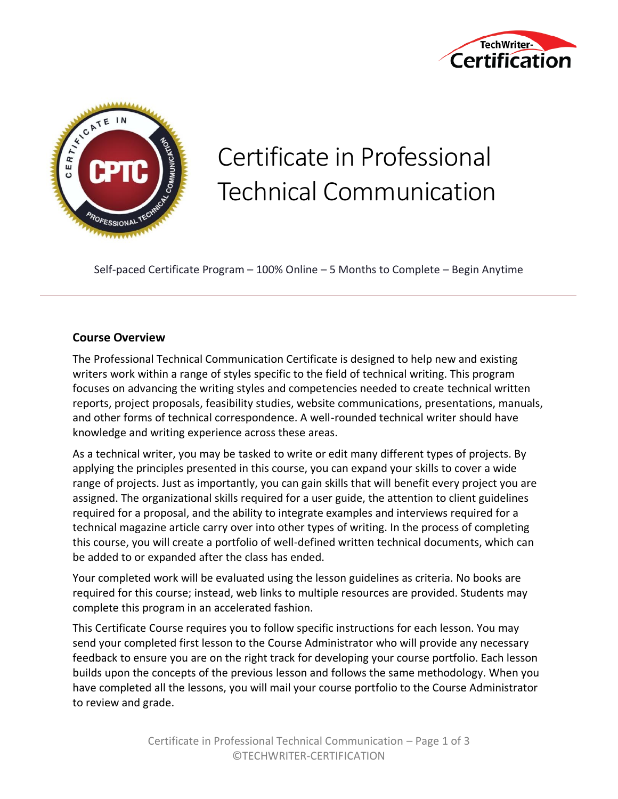



# Certificate in Professional Technical Communication

Self-paced Certificate Program – 100% Online – 5 Months to Complete – Begin Anytime

#### **Course Overview**

The Professional Technical Communication Certificate is designed to help new and existing writers work within a range of styles specific to the field of technical writing. This program focuses on advancing the writing styles and competencies needed to create technical written reports, project proposals, feasibility studies, website communications, presentations, manuals, and other forms of technical correspondence. A well-rounded technical writer should have knowledge and writing experience across these areas.

As a technical writer, you may be tasked to write or edit many different types of projects. By applying the principles presented in this course, you can expand your skills to cover a wide range of projects. Just as importantly, you can gain skills that will benefit every project you are assigned. The organizational skills required for a user guide, the attention to client guidelines required for a proposal, and the ability to integrate examples and interviews required for a technical magazine article carry over into other types of writing. In the process of completing this course, you will create a portfolio of well-defined written technical documents, which can be added to or expanded after the class has ended.

Your completed work will be evaluated using the lesson guidelines as criteria. No books are required for this course; instead, web links to multiple resources are provided. Students may complete this program in an accelerated fashion.

This Certificate Course requires you to follow specific instructions for each lesson. You may send your completed first lesson to the Course Administrator who will provide any necessary feedback to ensure you are on the right track for developing your course portfolio. Each lesson builds upon the concepts of the previous lesson and follows the same methodology. When you have completed all the lessons, you will mail your course portfolio to the Course Administrator to review and grade.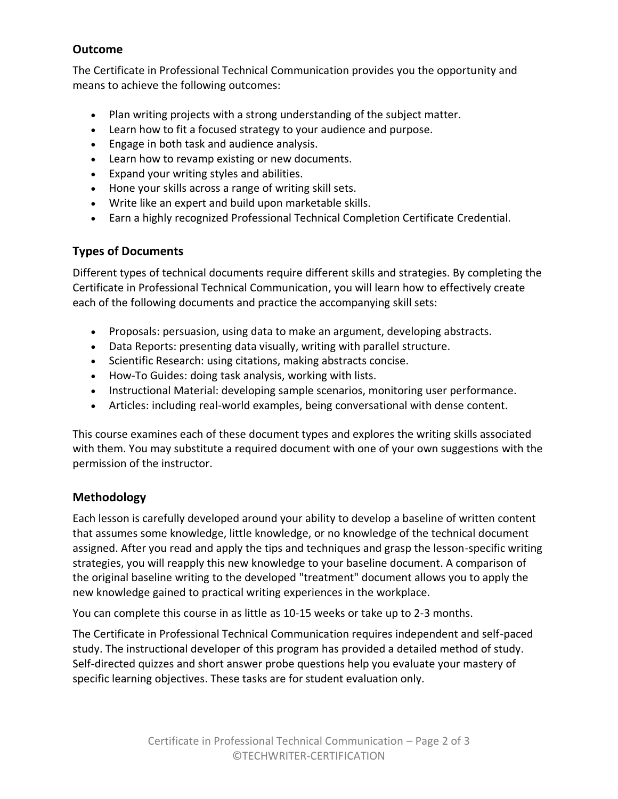## **Outcome**

The Certificate in Professional Technical Communication provides you the opportunity and means to achieve the following outcomes:

- Plan writing projects with a strong understanding of the subject matter.
- Learn how to fit a focused strategy to your audience and purpose.
- Engage in both task and audience analysis.
- Learn how to revamp existing or new documents.
- Expand your writing styles and abilities.
- Hone your skills across a range of writing skill sets.
- Write like an expert and build upon marketable skills.
- Earn a highly recognized Professional Technical Completion Certificate Credential.

### **Types of Documents**

Different types of technical documents require different skills and strategies. By completing the Certificate in Professional Technical Communication, you will learn how to effectively create each of the following documents and practice the accompanying skill sets:

- Proposals: persuasion, using data to make an argument, developing abstracts.
- Data Reports: presenting data visually, writing with parallel structure.
- Scientific Research: using citations, making abstracts concise.
- How-To Guides: doing task analysis, working with lists.
- Instructional Material: developing sample scenarios, monitoring user performance.
- Articles: including real-world examples, being conversational with dense content.

This course examines each of these document types and explores the writing skills associated with them. You may substitute a required document with one of your own suggestions with the permission of the instructor.

## **Methodology**

Each lesson is carefully developed around your ability to develop a baseline of written content that assumes some knowledge, little knowledge, or no knowledge of the technical document assigned. After you read and apply the tips and techniques and grasp the lesson-specific writing strategies, you will reapply this new knowledge to your baseline document. A comparison of the original baseline writing to the developed "treatment" document allows you to apply the new knowledge gained to practical writing experiences in the workplace.

You can complete this course in as little as 10-15 weeks or take up to 2-3 months.

The Certificate in Professional Technical Communication requires independent and self-paced study. The instructional developer of this program has provided a detailed method of study. Self-directed quizzes and short answer probe questions help you evaluate your mastery of specific learning objectives. These tasks are for student evaluation only.